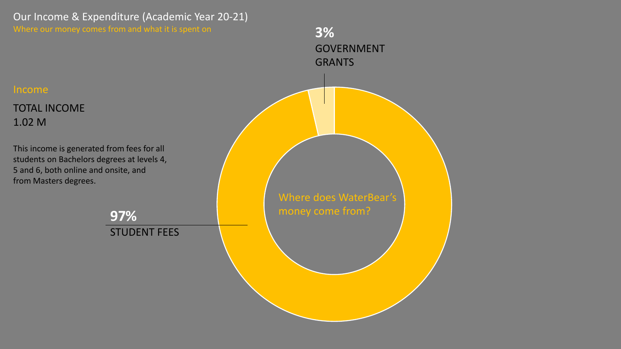Our Income & Expenditure (Academic Year 20-21)

Where our money comes from and what it is spent on

Income

1.02 M

TOTAL INCOME

from Masters degrees.

This income is generated from fees for all students on Bachelors degrees at levels 4, 5 and 6, both online and onsite, and Where does WaterBear's money come from? **97%** STUDENT FEES **3%** GOVERNMENT GRANTS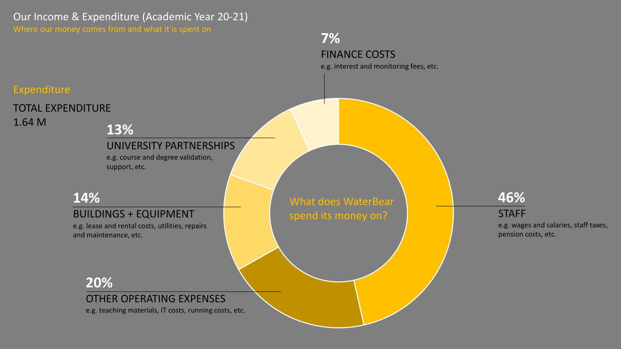Our Income & Expenditure (Academic Year 20-21)